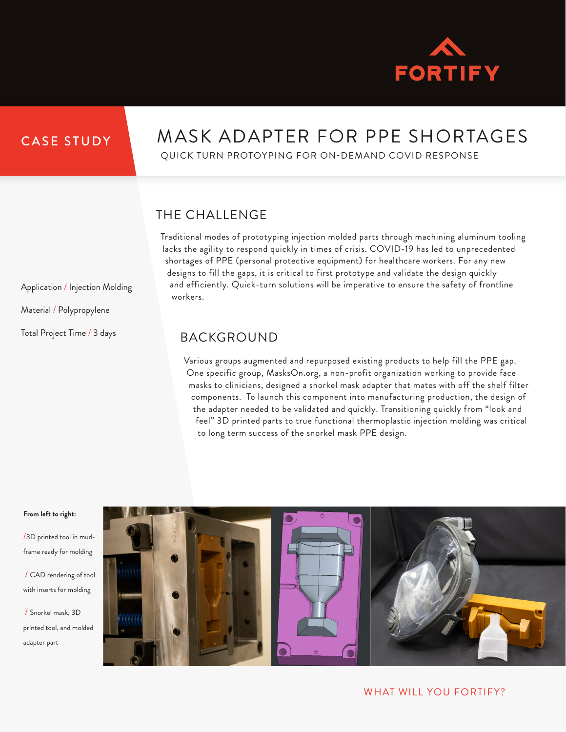

## CASE STUDY

Application / Injection Molding

Material / Polypropylene

Total Project Time / 3 days

# MASK ADAPTER FOR PPE SHORTAGES

QUICK TURN PROTOYPING FOR ON-DEMAND COVID RESPONSE

# THE CHALLENGE

Traditional modes of prototyping injection molded parts through machining aluminum tooling lacks the agility to respond quickly in times of crisis. COVID-19 has led to unprecedented shortages of PPE (personal protective equipment) for healthcare workers. For any new designs to fill the gaps, it is critical to first prototype and validate the design quickly and efficiently. Quick-turn solutions will be imperative to ensure the safety of frontline workers.

### BACKGROUND

Various groups augmented and repurposed existing products to help fill the PPE gap. One specific group, MasksOn.org, a non-profit organization working to provide face masks to clinicians, designed a snorkel mask adapter that mates with off the shelf filter components. To launch this component into manufacturing production, the design of the adapter needed to be validated and quickly. Transitioning quickly from "look and feel" 3D printed parts to true functional thermoplastic injection molding was critical to long term success of the snorkel mask PPE design.

#### **From left to right:**

/3D printed tool in mudframe ready for molding

/ CAD rendering of tool with inserts for molding

/ Snorkel mask, 3D printed tool, and molded adapter part



WHAT WILL YOU FORTIFY?